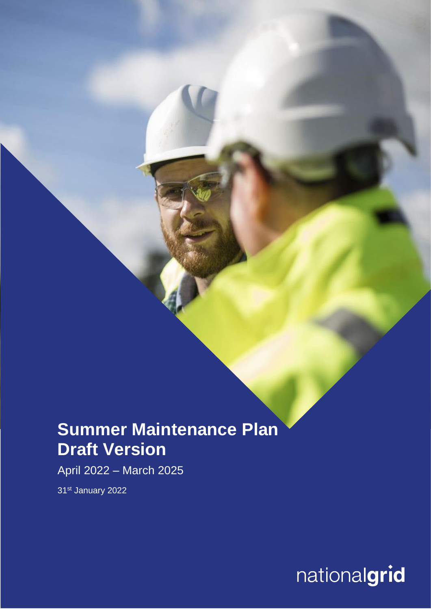## **Summer Maintenance Plan Draft Version**

April 2022 – March 2025

31st January 2022

nationalgrid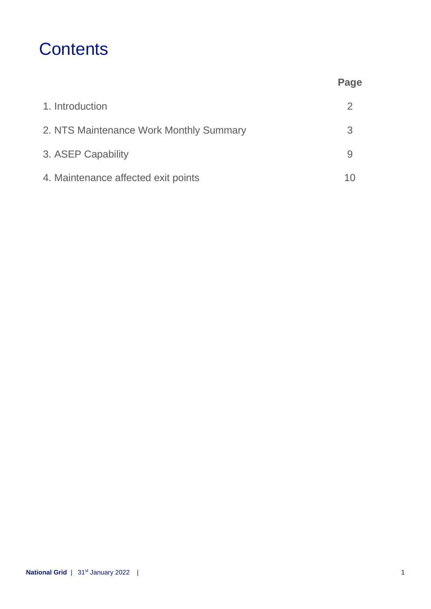## **Contents**

|                                         | Page |
|-----------------------------------------|------|
| 1. Introduction                         | 2    |
| 2. NTS Maintenance Work Monthly Summary | 3    |
| 3. ASEP Capability                      |      |
| 4. Maintenance affected exit points     |      |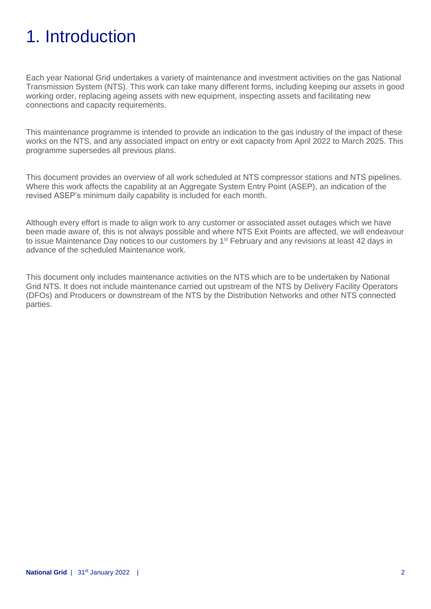# 1. Introduction

Each year National Grid undertakes a variety of maintenance and investment activities on the gas National Transmission System (NTS). This work can take many different forms, including keeping our assets in good working order, replacing ageing assets with new equipment, inspecting assets and facilitating new connections and capacity requirements.

This maintenance programme is intended to provide an indication to the gas industry of the impact of these works on the NTS, and any associated impact on entry or exit capacity from April 2022 to March 2025. This programme supersedes all previous plans.

This document provides an overview of all work scheduled at NTS compressor stations and NTS pipelines. Where this work affects the capability at an Aggregate System Entry Point (ASEP), an indication of the revised ASEP's minimum daily capability is included for each month.

Although every effort is made to align work to any customer or associated asset outages which we have been made aware of, this is not always possible and where NTS Exit Points are affected, we will endeavour to issue Maintenance Day notices to our customers by 1<sup>st</sup> February and any revisions at least 42 days in advance of the scheduled Maintenance work.

This document only includes maintenance activities on the NTS which are to be undertaken by National Grid NTS. It does not include maintenance carried out upstream of the NTS by Delivery Facility Operators (DFOs) and Producers or downstream of the NTS by the Distribution Networks and other NTS connected parties.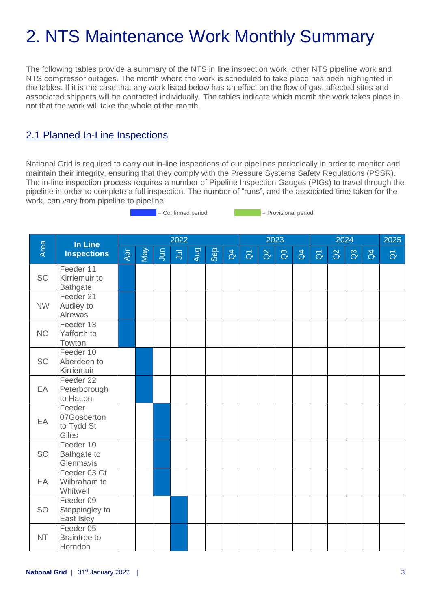# 2. NTS Maintenance Work Monthly Summary

The following tables provide a summary of the NTS in line inspection work, other NTS pipeline work and NTS compressor outages. The month where the work is scheduled to take place has been highlighted in the tables. If it is the case that any work listed below has an effect on the flow of gas, affected sites and associated shippers will be contacted individually. The tables indicate which month the work takes place in, not that the work will take the whole of the month.

### 2.1 Planned In-Line Inspections

National Grid is required to carry out in-line inspections of our pipelines periodically in order to monitor and maintain their integrity, ensuring that they comply with the Pressure Systems Safety Regulations (PSSR). The in-line inspection process requires a number of Pipeline Inspection Gauges (PIGs) to travel through the pipeline in order to complete a full inspection. The number of "runs", and the associated time taken for the work, can vary from pipeline to pipeline.

= Confirmed period = Provisional period

| Area<br>In Line<br><b>Inspections</b> |                                               |     |                |                | 2022 |     |                |                     |          |                | 2023           |                        |          |                | 2024           |                | 2025 |
|---------------------------------------|-----------------------------------------------|-----|----------------|----------------|------|-----|----------------|---------------------|----------|----------------|----------------|------------------------|----------|----------------|----------------|----------------|------|
|                                       | Apr                                           | Vel | $\overline{5}$ | $\overline{5}$ | Aug  | Sep | $\overline{d}$ | $\overline{\sigma}$ | $\alpha$ | $\overline{a}$ | $\overline{d}$ | $\overline{\tilde{O}}$ | $\alpha$ | $\overline{a}$ | $\overline{d}$ | $\overline{O}$ |      |
| <b>SC</b>                             | Feeder 11<br>Kirriemuir to<br><b>Bathgate</b> |     |                |                |      |     |                |                     |          |                |                |                        |          |                |                |                |      |
| <b>NW</b>                             | Feeder 21<br>Audley to<br>Alrewas             |     |                |                |      |     |                |                     |          |                |                |                        |          |                |                |                |      |
| <b>NO</b>                             | Feeder 13<br>Yafforth to<br>Towton            |     |                |                |      |     |                |                     |          |                |                |                        |          |                |                |                |      |
| <b>SC</b>                             | Feeder 10<br>Aberdeen to<br>Kirriemuir        |     |                |                |      |     |                |                     |          |                |                |                        |          |                |                |                |      |
| EA                                    | Feeder 22<br>Peterborough<br>to Hatton        |     |                |                |      |     |                |                     |          |                |                |                        |          |                |                |                |      |
| EA                                    | Feeder<br>07Gosberton<br>to Tydd St<br>Giles  |     |                |                |      |     |                |                     |          |                |                |                        |          |                |                |                |      |
| <b>SC</b>                             | Feeder 10<br>Bathgate to<br>Glenmavis         |     |                |                |      |     |                |                     |          |                |                |                        |          |                |                |                |      |
| EA                                    | Feeder 03 Gt<br>Wilbraham to<br>Whitwell      |     |                |                |      |     |                |                     |          |                |                |                        |          |                |                |                |      |
| <b>SO</b>                             | Feeder 09<br>Steppingley to<br>East Isley     |     |                |                |      |     |                |                     |          |                |                |                        |          |                |                |                |      |
| <b>NT</b>                             | Feeder 05<br><b>Braintree to</b><br>Horndon   |     |                |                |      |     |                |                     |          |                |                |                        |          |                |                |                |      |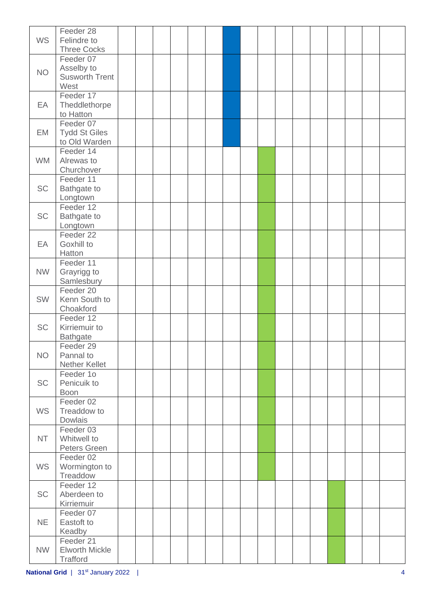| <b>WS</b> | Feeder 28<br>Felindre to<br><b>Three Cocks</b>           |  |  |  |  |  |  |  |  |
|-----------|----------------------------------------------------------|--|--|--|--|--|--|--|--|
| <b>NO</b> | Feeder 07<br>Asselby to<br><b>Susworth Trent</b><br>West |  |  |  |  |  |  |  |  |
| EA        | Feeder 17<br>Theddlethorpe<br>to Hatton                  |  |  |  |  |  |  |  |  |
| EM        | Feeder 07<br><b>Tydd St Giles</b><br>to Old Warden       |  |  |  |  |  |  |  |  |
| <b>WM</b> | Feeder 14<br>Alrewas to<br>Churchover                    |  |  |  |  |  |  |  |  |
| <b>SC</b> | Feeder 11<br>Bathgate to<br>Longtown                     |  |  |  |  |  |  |  |  |
| <b>SC</b> | Feeder 12<br>Bathgate to<br>Longtown                     |  |  |  |  |  |  |  |  |
| EA        | Feeder 22<br>Goxhill to<br>Hatton                        |  |  |  |  |  |  |  |  |
| <b>NW</b> | Feeder 11<br>Grayrigg to<br>Samlesbury                   |  |  |  |  |  |  |  |  |
| <b>SW</b> | Feeder 20<br>Kenn South to<br>Choakford                  |  |  |  |  |  |  |  |  |
| <b>SC</b> | Feeder 12<br>Kirriemuir to<br><b>Bathgate</b>            |  |  |  |  |  |  |  |  |
| <b>NO</b> | Feeder 29<br>Pannal to<br>Nether Kellet                  |  |  |  |  |  |  |  |  |
| <b>SC</b> | Feeder 1o<br>Penicuik to<br><b>Boon</b>                  |  |  |  |  |  |  |  |  |
| <b>WS</b> | Feeder 02<br>Treaddow to<br>Dowlais                      |  |  |  |  |  |  |  |  |
| <b>NT</b> | Feeder 03<br>Whitwell to<br>Peters Green                 |  |  |  |  |  |  |  |  |
| <b>WS</b> | Feeder 02<br>Wormington to<br>Treaddow                   |  |  |  |  |  |  |  |  |
| <b>SC</b> | Feeder 12<br>Aberdeen to<br>Kirriemuir                   |  |  |  |  |  |  |  |  |
| <b>NE</b> | Feeder 07<br>Eastoft to<br>Keadby                        |  |  |  |  |  |  |  |  |
| <b>NW</b> | Feeder 21<br><b>Elworth Mickle</b><br>Trafford           |  |  |  |  |  |  |  |  |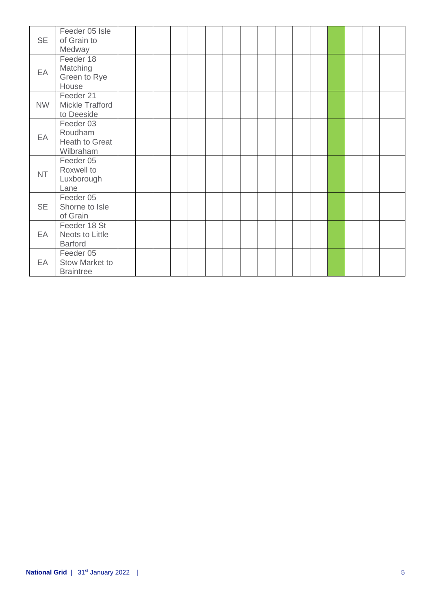| <b>SE</b> | Feeder 05 Isle<br>of Grain to<br>Medway             |  |  |  |  |  |  |  |  |
|-----------|-----------------------------------------------------|--|--|--|--|--|--|--|--|
| EA        | Feeder 18<br>Matching<br>Green to Rye<br>House      |  |  |  |  |  |  |  |  |
| <b>NW</b> | Feeder 21<br>Mickle Trafford<br>to Deeside          |  |  |  |  |  |  |  |  |
| EA        | Feeder 03<br>Roudham<br>Heath to Great<br>Wilbraham |  |  |  |  |  |  |  |  |
| <b>NT</b> | Feeder 05<br>Roxwell to<br>Luxborough<br>Lane       |  |  |  |  |  |  |  |  |
| <b>SE</b> | Feeder 05<br>Shorne to Isle<br>of Grain             |  |  |  |  |  |  |  |  |
| EA        | Feeder 18 St<br>Neots to Little<br><b>Barford</b>   |  |  |  |  |  |  |  |  |
| EA        | Feeder 05<br>Stow Market to<br><b>Braintree</b>     |  |  |  |  |  |  |  |  |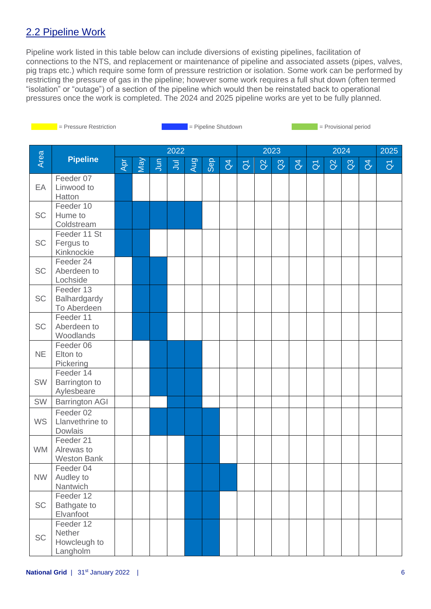## 2.2 Pipeline Work

Pipeline work listed in this table below can include diversions of existing pipelines, facilitation of connections to the NTS, and replacement or maintenance of pipeline and associated assets (pipes, valves, pig traps etc.) which require some form of pressure restriction or isolation. Some work can be performed by restricting the pressure of gas in the pipeline; however some work requires a full shut down (often termed "isolation" or "outage") of a section of the pipeline which would then be reinstated back to operational pressures once the work is completed. The 2024 and 2025 pipeline works are yet to be fully planned.

| <b>Contract Contract Contract Contract Contract Contract Contract Contract Contract Contract Contract Contract Co</b> | = Pressure Restriction                          |                |     |             |       |     | = Pipeline Shutdown |                | = Provisional period |          |                |                |                |          |                |                |                         |  |
|-----------------------------------------------------------------------------------------------------------------------|-------------------------------------------------|----------------|-----|-------------|-------|-----|---------------------|----------------|----------------------|----------|----------------|----------------|----------------|----------|----------------|----------------|-------------------------|--|
|                                                                                                                       |                                                 |                |     |             |       |     |                     |                |                      |          |                |                |                |          |                |                | 2025                    |  |
| Area                                                                                                                  |                                                 | 2022           |     |             |       |     |                     |                |                      | 2023     |                |                |                |          | 2024           |                |                         |  |
|                                                                                                                       | <b>Pipeline</b>                                 | $\overline{A}$ | May | $rac{5}{2}$ | $\Xi$ | Aug | <b>Sep</b>          | $\overline{d}$ | $\overline{O}$       | $\Omega$ | $\mathbf{G}^3$ | $\overline{d}$ | $\overline{O}$ | $\Omega$ | $\mathbb{S}^3$ | $\overline{d}$ | $\overline{\mathsf{d}}$ |  |
| EA                                                                                                                    | Feeder 07<br>Linwood to<br>Hatton               |                |     |             |       |     |                     |                |                      |          |                |                |                |          |                |                |                         |  |
| <b>SC</b>                                                                                                             | Feeder 10<br>Hume to<br>Coldstream              |                |     |             |       |     |                     |                |                      |          |                |                |                |          |                |                |                         |  |
| <b>SC</b>                                                                                                             | Feeder 11 St<br>Fergus to<br>Kinknockie         |                |     |             |       |     |                     |                |                      |          |                |                |                |          |                |                |                         |  |
| <b>SC</b>                                                                                                             | Feeder 24<br>Aberdeen to<br>Lochside            |                |     |             |       |     |                     |                |                      |          |                |                |                |          |                |                |                         |  |
| <b>SC</b>                                                                                                             | Feeder 13<br>Balhardgardy<br>To Aberdeen        |                |     |             |       |     |                     |                |                      |          |                |                |                |          |                |                |                         |  |
| <b>SC</b>                                                                                                             | Feeder 11<br>Aberdeen to<br>Woodlands           |                |     |             |       |     |                     |                |                      |          |                |                |                |          |                |                |                         |  |
| <b>NE</b>                                                                                                             | Feeder 06<br>Elton to<br>Pickering              |                |     |             |       |     |                     |                |                      |          |                |                |                |          |                |                |                         |  |
| SW                                                                                                                    | Feeder 14<br>Barrington to<br>Aylesbeare        |                |     |             |       |     |                     |                |                      |          |                |                |                |          |                |                |                         |  |
| SW                                                                                                                    | <b>Barrington AGI</b>                           |                |     |             |       |     |                     |                |                      |          |                |                |                |          |                |                |                         |  |
| <b>WS</b>                                                                                                             | Feeder 02<br>Llanvethrine to<br>Dowlais         |                |     |             |       |     |                     |                |                      |          |                |                |                |          |                |                |                         |  |
| <b>WM</b>                                                                                                             | Feeder 21<br>Alrewas to<br><b>Weston Bank</b>   |                |     |             |       |     |                     |                |                      |          |                |                |                |          |                |                |                         |  |
| <b>NW</b>                                                                                                             | Feeder 04<br>Audley to<br>Nantwich              |                |     |             |       |     |                     |                |                      |          |                |                |                |          |                |                |                         |  |
| SC                                                                                                                    | Feeder 12<br>Bathgate to<br>Elvanfoot           |                |     |             |       |     |                     |                |                      |          |                |                |                |          |                |                |                         |  |
| SC                                                                                                                    | Feeder 12<br>Nether<br>Howcleugh to<br>Langholm |                |     |             |       |     |                     |                |                      |          |                |                |                |          |                |                |                         |  |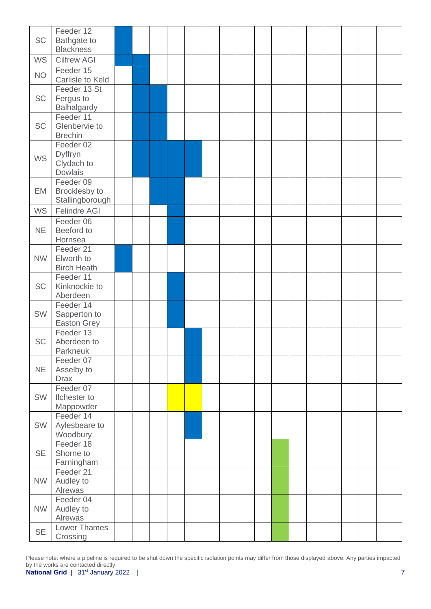| <b>SC</b> | Feeder 12<br>Bathgate to<br><b>Blackness</b>         |  |  |  |  |  |  |  |  |
|-----------|------------------------------------------------------|--|--|--|--|--|--|--|--|
| <b>WS</b> | <b>Cilfrew AGI</b>                                   |  |  |  |  |  |  |  |  |
| <b>NO</b> | Feeder 15<br>Carlisle to Keld                        |  |  |  |  |  |  |  |  |
| <b>SC</b> | Feeder 13 St<br>Fergus to<br>Balhalgardy             |  |  |  |  |  |  |  |  |
| SC        | Feeder 11<br>Glenbervie to<br><b>Brechin</b>         |  |  |  |  |  |  |  |  |
| <b>WS</b> | Feeder 02<br>Dyffryn<br>Clydach to<br>Dowlais        |  |  |  |  |  |  |  |  |
| EM        | Feeder 09<br><b>Brocklesby to</b><br>Stallingborough |  |  |  |  |  |  |  |  |
| <b>WS</b> | <b>Felindre AGI</b>                                  |  |  |  |  |  |  |  |  |
| <b>NE</b> | Feeder 06<br>Beeford to<br>Hornsea                   |  |  |  |  |  |  |  |  |
| <b>NW</b> | Feeder 21<br>Elworth to<br><b>Birch Heath</b>        |  |  |  |  |  |  |  |  |
| <b>SC</b> | Feeder 11<br>Kinknockie to<br>Aberdeen               |  |  |  |  |  |  |  |  |
| SW        | Feeder 14<br>Sapperton to<br>Easton Grey             |  |  |  |  |  |  |  |  |
| <b>SC</b> | Feeder 13<br>Aberdeen to<br>Parkneuk                 |  |  |  |  |  |  |  |  |
| <b>NE</b> | Feeder 07<br>Asselby to<br><b>Drax</b>               |  |  |  |  |  |  |  |  |
| <b>SW</b> | Feeder 07<br>Ilchester to<br>Mappowder               |  |  |  |  |  |  |  |  |
| SW        | Feeder 14<br>Aylesbeare to<br><b>Woodbury</b>        |  |  |  |  |  |  |  |  |
| <b>SE</b> | Feeder 18<br>Shorne to<br>Farningham                 |  |  |  |  |  |  |  |  |
| <b>NW</b> | Feeder 21<br>Audley to<br>Alrewas                    |  |  |  |  |  |  |  |  |
| <b>NW</b> | Feeder 04<br>Audley to<br>Alrewas                    |  |  |  |  |  |  |  |  |
| <b>SE</b> | <b>Lower Thames</b><br>Crossing                      |  |  |  |  |  |  |  |  |

Please note: where a pipeline is required to be shut down the specific isolation points may differ from those displayed above. Any parties impacted by the works are contacted directly.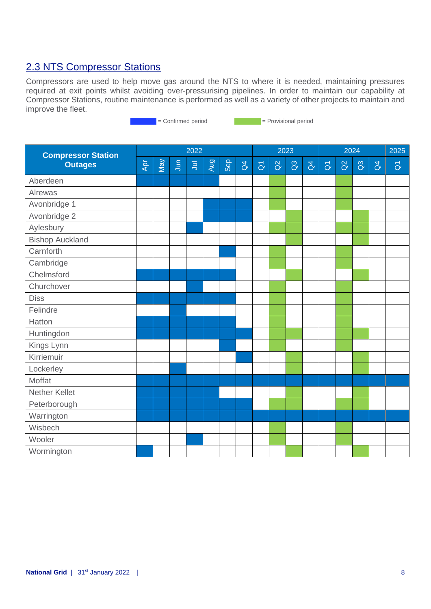### 2.3 NTS Compressor Stations

Compressors are used to help move gas around the NTS to where it is needed, maintaining pressures required at exit points whilst avoiding over-pressurising pipelines. In order to maintain our capability at Compressor Stations, routine maintenance is performed as well as a variety of other projects to maintain and improve the fleet.

external = Confirmed period = Provisional period

**Compressor Station Outages** 2022 2023 2024 2025 Apr May Jun  $\bar{B}$ Aug Sep  $\beta$  $\overline{\sigma}$ Q2  $\mathcal{C}^3$  $\overline{d}$  $\overline{a}$ Q2 Q3  $\beta$  $\overline{\sigma}$ Aberdeen Alrewas Avonbridge 1 Avonbridge 2 Aylesbury Bishop Auckland **Carnforth Cambridge Chelmsford Churchover** Diss Felindre Hatton Huntingdon Kings Lynn Kirriemuir Lockerley Moffat Nether Kellet **Peterborough Warrington Wisbech** Wooler **Wormington**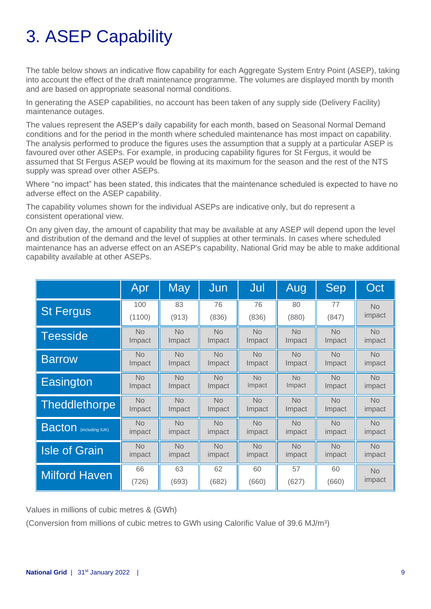# 3. ASEP Capability

The table below shows an indicative flow capability for each Aggregate System Entry Point (ASEP), taking into account the effect of the draft maintenance programme. The volumes are displayed month by month and are based on appropriate seasonal normal conditions.

In generating the ASEP capabilities, no account has been taken of any supply side (Delivery Facility) maintenance outages.

The values represent the ASEP's daily capability for each month, based on Seasonal Normal Demand conditions and for the period in the month where scheduled maintenance has most impact on capability. The analysis performed to produce the figures uses the assumption that a supply at a particular ASEP is favoured over other ASEPs. For example, in producing capability figures for St Fergus, it would be assumed that St Fergus ASEP would be flowing at its maximum for the season and the rest of the NTS supply was spread over other ASEPs.

Where "no impact" has been stated, this indicates that the maintenance scheduled is expected to have no adverse effect on the ASEP capability.

The capability volumes shown for the individual ASEPs are indicative only, but do represent a consistent operational view.

On any given day, the amount of capability that may be available at any ASEP will depend upon the level and distribution of the demand and the level of supplies at other terminals. In cases where scheduled maintenance has an adverse effect on an ASEP's capability, National Grid may be able to make additional capability available at other ASEPs.

|                               | Apr       | <b>May</b> | Jun       | Jul       | Aug       | Sep       | Oct       |
|-------------------------------|-----------|------------|-----------|-----------|-----------|-----------|-----------|
| <b>St Fergus</b>              | 100       | 83         | 76        | 76        | 80        | 77        | <b>No</b> |
|                               | (1100)    | (913)      | (836)     | (836)     | (880)     | (847)     | impact    |
| <b>Teesside</b>               | <b>No</b> | <b>No</b>  | <b>No</b> | <b>No</b> | <b>No</b> | <b>No</b> | <b>No</b> |
|                               | Impact    | Impact     | Impact    | Impact    | Impact    | Impact    | impact    |
| <b>Barrow</b>                 | <b>No</b> | <b>No</b>  | <b>No</b> | <b>No</b> | <b>No</b> | <b>No</b> | <b>No</b> |
|                               | Impact    | Impact     | Impact    | Impact    | Impact    | Impact    | impact    |
| Easington                     | <b>No</b> | <b>No</b>  | <b>No</b> | No        | <b>No</b> | No        | <b>No</b> |
|                               | Impact    | Impact     | Impact    | Impact    | Impact    | Impact    | impact    |
| Theddlethorpe                 | <b>No</b> | <b>No</b>  | <b>No</b> | <b>No</b> | <b>No</b> | <b>No</b> | <b>No</b> |
|                               | Impact    | Impact     | Impact    | Impact    | Impact    | Impact    | impact    |
| <b>Bacton</b> (including IUK) | <b>No</b> | <b>No</b>  | <b>No</b> | <b>No</b> | <b>No</b> | <b>No</b> | <b>No</b> |
|                               | impact    | impact     | impact    | impact    | impact    | impact    | impact    |
| <b>Isle of Grain</b>          | <b>No</b> | <b>No</b>  | <b>No</b> | <b>No</b> | <b>No</b> | <b>No</b> | <b>No</b> |
|                               | impact    | impact     | impact    | impact    | impact    | impact    | impact    |
| <b>Milford Haven</b>          | 66        | 63         | 62        | 60        | 57        | 60        | <b>No</b> |
|                               | (726)     | (693)      | (682)     | (660)     | (627)     | (660)     | impact    |

Values in millions of cubic metres & (GWh)

(Conversion from millions of cubic metres to GWh using Calorific Value of 39.6 MJ/m<sup>3</sup>)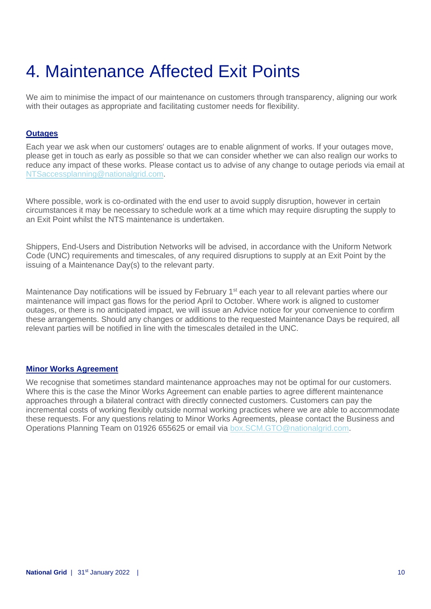# 4. Maintenance Affected Exit Points

We aim to minimise the impact of our maintenance on customers through transparency, aligning our work with their outages as appropriate and facilitating customer needs for flexibility.

#### **Outages**

Each year we ask when our customers' outages are to enable alignment of works. If your outages move, please get in touch as early as possible so that we can consider whether we can also realign our works to reduce any impact of these works. Please contact us to advise of any change to outage periods via email at [NTSaccessplanning@nationalgrid.com.](mailto:NTSaccessplanning@nationalgrid.com)

Where possible, work is co-ordinated with the end user to avoid supply disruption, however in certain circumstances it may be necessary to schedule work at a time which may require disrupting the supply to an Exit Point whilst the NTS maintenance is undertaken.

Shippers, End-Users and Distribution Networks will be advised, in accordance with the Uniform Network Code (UNC) requirements and timescales, of any required disruptions to supply at an Exit Point by the issuing of a Maintenance Day(s) to the relevant party.

Maintenance Day notifications will be issued by February 1<sup>st</sup> each year to all relevant parties where our maintenance will impact gas flows for the period April to October. Where work is aligned to customer outages, or there is no anticipated impact, we will issue an Advice notice for your convenience to confirm these arrangements. Should any changes or additions to the requested Maintenance Days be required, all relevant parties will be notified in line with the timescales detailed in the UNC.

#### **Minor Works Agreement**

We recognise that sometimes standard maintenance approaches may not be optimal for our customers. Where this is the case the Minor Works Agreement can enable parties to agree different maintenance approaches through a bilateral contract with directly connected customers. Customers can pay the incremental costs of working flexibly outside normal working practices where we are able to accommodate these requests. For any questions relating to Minor Works Agreements, please contact the Business and Operations Planning Team on 01926 655625 or email via [box.SCM.GTO@nationalgrid.com.](mailto:box.SCM.GTO@nationalgrid.com)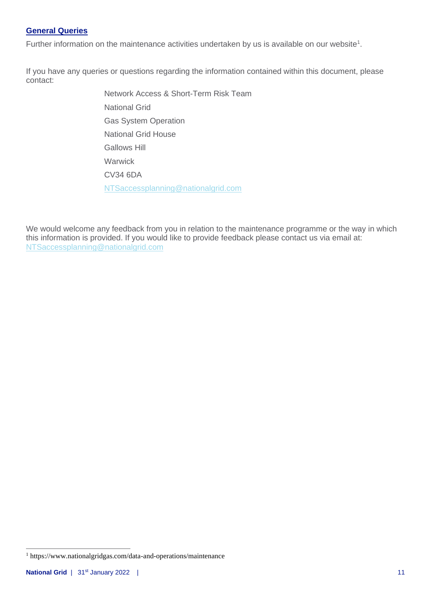#### **General Queries**

Further information on the maintenance activities undertaken by us is available on our website<sup>1</sup>.

If you have any queries or questions regarding the information contained within this document, please contact:

> Network Access & Short-Term Risk Team National Grid Gas System Operation National Grid House Gallows Hill **Warwick** CV34 6DA [NTSaccessplanning@nationalgrid.com](mailto:NTSaccessplanning@nationalgrid.com)

We would welcome any feedback from you in relation to the maintenance programme or the way in which this information is provided. If you would like to provide feedback please contact us via email at: [NTSaccessplanning@nationalgrid.com](mailto:NTSaccessplanning@nationalgrid.com)

<sup>1</sup> https://www.nationalgridgas.com/data-and-operations/maintenance